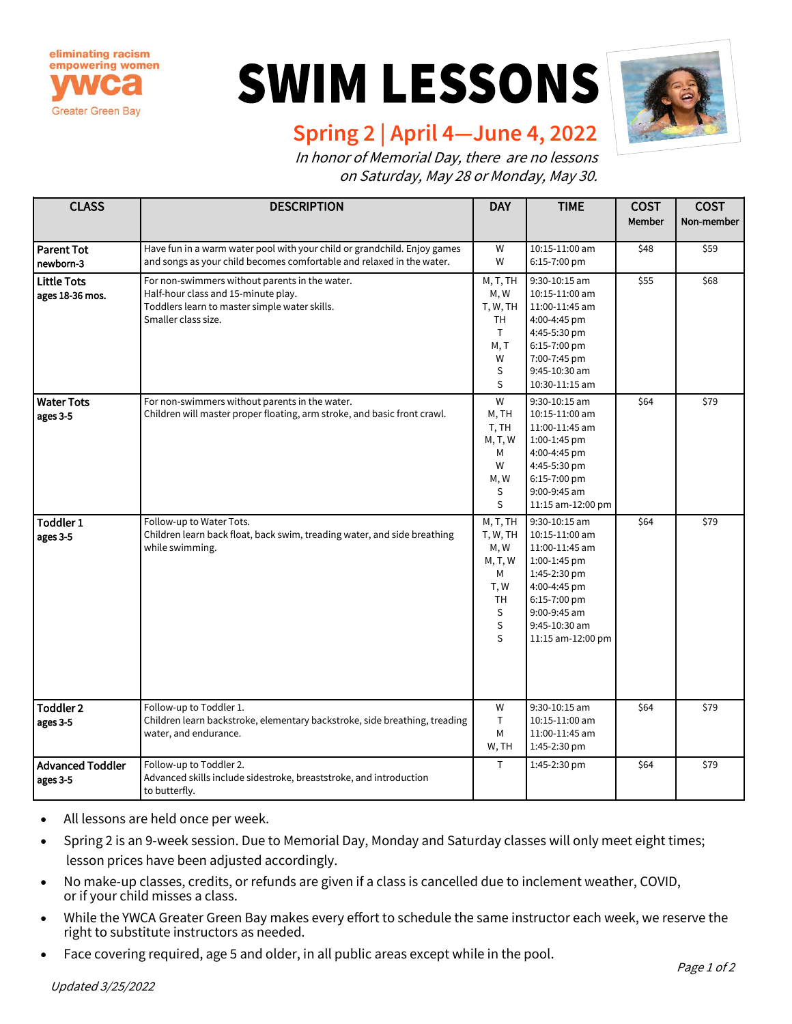

## **SWIM LESSONS**



## **Spring 2 | April 4—June 4, 2022**

In honor of Memorial Day, there are no lessons on Saturday, May 28 or Monday, May 30.

| <b>CLASS</b>                          | <b>DESCRIPTION</b>                                                                                                                                            | <b>DAY</b>                                                                       | <b>TIME</b>                                                                                                                                                             | <b>COST</b><br><b>Member</b> | <b>COST</b><br>Non-member |
|---------------------------------------|---------------------------------------------------------------------------------------------------------------------------------------------------------------|----------------------------------------------------------------------------------|-------------------------------------------------------------------------------------------------------------------------------------------------------------------------|------------------------------|---------------------------|
| <b>Parent Tot</b><br>newborn-3        | Have fun in a warm water pool with your child or grandchild. Enjoy games<br>and songs as your child becomes comfortable and relaxed in the water.             | W<br>W                                                                           | 10:15-11:00 am<br>6:15-7:00 pm                                                                                                                                          | \$48                         | \$59                      |
| <b>Little Tots</b><br>ages 18-36 mos. | For non-swimmers without parents in the water.<br>Half-hour class and 15-minute play.<br>Toddlers learn to master simple water skills.<br>Smaller class size. | M, T, TH<br>M, W<br>T, W, TH<br>TH<br>T.<br>M, T<br>W<br>S<br>S                  | 9:30-10:15 am<br>10:15-11:00 am<br>11:00-11:45 am<br>4:00-4:45 pm<br>4:45-5:30 pm<br>6:15-7:00 pm<br>7:00-7:45 pm<br>9:45-10:30 am<br>10:30-11:15 am                    | \$55                         | \$68                      |
| <b>Water Tots</b><br>ages 3-5         | For non-swimmers without parents in the water.<br>Children will master proper floating, arm stroke, and basic front crawl.                                    | W<br>M, TH<br>T, TH<br>M, T, W<br>М<br>W<br>M, W<br>S<br>S                       | 9:30-10:15 am<br>10:15-11:00 am<br>11:00-11:45 am<br>1:00-1:45 pm<br>4:00-4:45 pm<br>4:45-5:30 pm<br>6:15-7:00 pm<br>9:00-9:45 am<br>11:15 am-12:00 pm                  | \$64                         | \$79                      |
| Toddler <sub>1</sub><br>ages 3-5      | Follow-up to Water Tots.<br>Children learn back float, back swim, treading water, and side breathing<br>while swimming.                                       | M, T, TH<br>T, W, TH<br>M, W<br>M, T, W<br>Μ<br>T, W<br><b>TH</b><br>S<br>S<br>S | 9:30-10:15 am<br>10:15-11:00 am<br>11:00-11:45 am<br>1:00-1:45 pm<br>1:45-2:30 pm<br>4:00-4:45 pm<br>6:15-7:00 pm<br>9:00-9:45 am<br>9:45-10:30 am<br>11:15 am-12:00 pm | \$64                         | \$79                      |
| <b>Toddler 2</b><br>ages 3-5          | Follow-up to Toddler 1.<br>Children learn backstroke, elementary backstroke, side breathing, treading<br>water, and endurance.                                | W<br>T.<br>М<br>W, TH                                                            | 9:30-10:15 am<br>10:15-11:00 am<br>11:00-11:45 am<br>1:45-2:30 pm                                                                                                       | \$64                         | \$79                      |
| <b>Advanced Toddler</b><br>ages 3-5   | Follow-up to Toddler 2.<br>Advanced skills include sidestroke, breaststroke, and introduction<br>to butterfly.                                                | T.                                                                               | 1:45-2:30 pm                                                                                                                                                            | \$64                         | \$79                      |

- All lessons are held once per week.
- Spring 2 is an 9-week session. Due to Memorial Day, Monday and Saturday classes will only meet eight times; lesson prices have been adjusted accordingly.
- No make-up classes, credits, or refunds are given if a class is cancelled due to inclement weather, COVID, or if your child misses a class.
- While the YWCA Greater Green Bay makes every effort to schedule the same instructor each week, we reserve the right to substitute instructors as needed.
- Face covering required, age 5 and older, in all public areas except while in the pool.